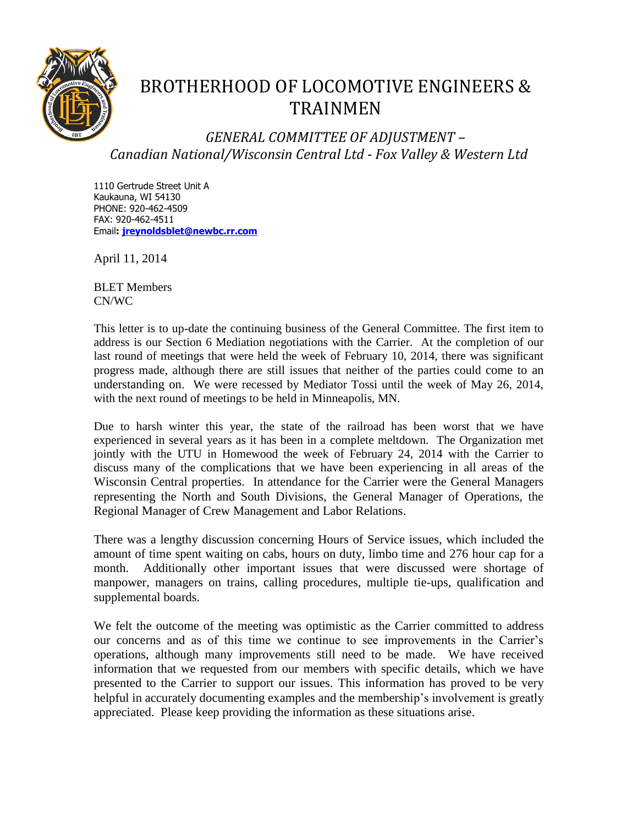

## BROTHERHOOD OF LOCOMOTIVE ENGINEERS & TRAINMEN

*GENERAL COMMITTEE OF ADJUSTMENT – Canadian National/Wisconsin Central Ltd - Fox Valley & Western Ltd*

1110 Gertrude Street Unit A Kaukauna, WI 54130 PHONE: 920-462-4509 FAX: 920-462-4511 Email**: [jreynoldsblet@newbc.rr.com](mailto:jreynoldblet@newbc.rr.com)**

April 11, 2014

BLET Members CN/WC

This letter is to up-date the continuing business of the General Committee. The first item to address is our Section 6 Mediation negotiations with the Carrier. At the completion of our last round of meetings that were held the week of February 10, 2014, there was significant progress made, although there are still issues that neither of the parties could come to an understanding on. We were recessed by Mediator Tossi until the week of May 26, 2014, with the next round of meetings to be held in Minneapolis, MN.

Due to harsh winter this year, the state of the railroad has been worst that we have experienced in several years as it has been in a complete meltdown. The Organization met jointly with the UTU in Homewood the week of February 24, 2014 with the Carrier to discuss many of the complications that we have been experiencing in all areas of the Wisconsin Central properties. In attendance for the Carrier were the General Managers representing the North and South Divisions, the General Manager of Operations, the Regional Manager of Crew Management and Labor Relations.

There was a lengthy discussion concerning Hours of Service issues, which included the amount of time spent waiting on cabs, hours on duty, limbo time and 276 hour cap for a month. Additionally other important issues that were discussed were shortage of manpower, managers on trains, calling procedures, multiple tie-ups, qualification and supplemental boards.

We felt the outcome of the meeting was optimistic as the Carrier committed to address our concerns and as of this time we continue to see improvements in the Carrier's operations, although many improvements still need to be made. We have received information that we requested from our members with specific details, which we have presented to the Carrier to support our issues. This information has proved to be very helpful in accurately documenting examples and the membership's involvement is greatly appreciated. Please keep providing the information as these situations arise.